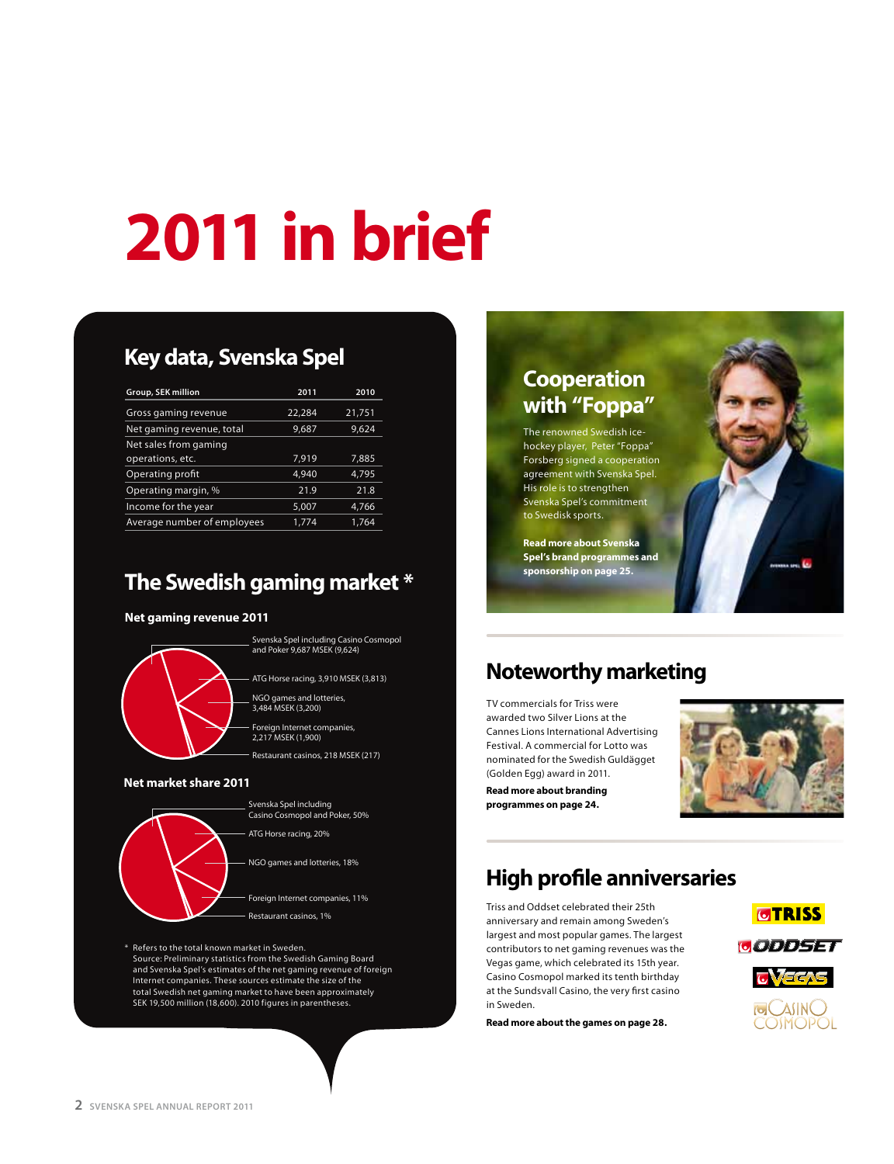# **2011 in brief**

## **Key data, Svenska Spel**

| Group, SEK million          | 2011   | 2010   |
|-----------------------------|--------|--------|
| Gross gaming revenue        | 22,284 | 21,751 |
| Net gaming revenue, total   | 9,687  | 9,624  |
| Net sales from gaming       |        |        |
| operations, etc.            | 7,919  | 7,885  |
| Operating profit            | 4.940  | 4,795  |
| Operating margin, %         | 21.9   | 21.8   |
| Income for the year         | 5,007  | 4,766  |
| Average number of employees | 1.774  | 1.764  |

#### **The Swedish gaming market \***

#### **Net gaming revenue 2011**



#### **Net market share 2011**



\* Refers to the total known market in Sweden. Source: Preliminary statistics from the Swedish Gaming Board and Svenska Spel's estimates of the net gaming revenue of foreign Internet companies. These sources estimate the size of the total Swedish net gaming market to have been approximately SEK 19,500 million (18,600). 2010 figures in parentheses.

#### **Cooperation with "Foppa"**  The renowned Swedish icehockey player, Peter "Foppa" Forsberg signed a cooperation agreement with Svenska Spel. His role is to strengthen Svenska Spel's commitment to Swedisk sports.

**Read more about Svenska Spel's brand programmes and sponsorship on page 25.**

## **Noteworthy marketing**

TV commercials for Triss were awarded two Silver Lions at the Cannes Lions International Advertising Festival. A commercial for Lotto was nominated for the Swedish Guldägget (Golden Egg) award in 2011.



**Read more about branding programmes on page 24.**

## **High profile anniversaries**

Triss and Oddset celebrated their 25th anniversary and remain among Sweden's largest and most popular games. The largest contributors to net gaming revenues was the Vegas game, which celebrated its 15th year. Casino Cosmopol marked its tenth birthday at the Sundsvall Casino, the very first casino in Sweden.

**Read more about the games on page 28.**